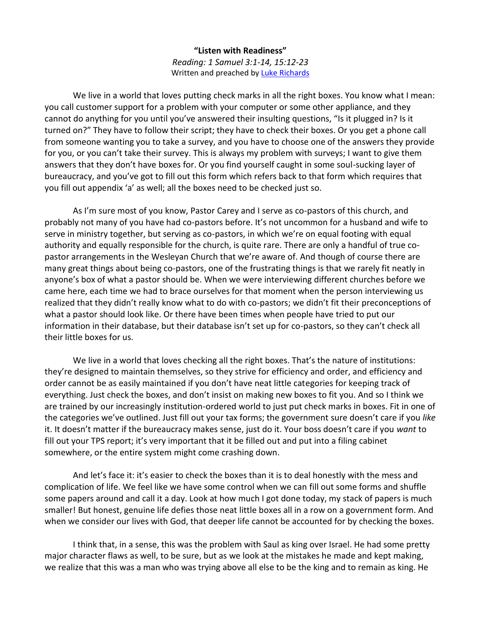## **"Listen with Readiness"** *Reading: 1 Samuel 3:1-14, 15:12-23* Written and preached b[y Luke Richards](http://www.lukerichards.blogspot.com/)

We live in a world that loves putting check marks in all the right boxes. You know what I mean: you call customer support for a problem with your computer or some other appliance, and they cannot do anything for you until you've answered their insulting questions, "Is it plugged in? Is it turned on?" They have to follow their script; they have to check their boxes. Or you get a phone call from someone wanting you to take a survey, and you have to choose one of the answers they provide for you, or you can't take their survey. This is always my problem with surveys; I want to give them answers that they don't have boxes for. Or you find yourself caught in some soul-sucking layer of bureaucracy, and you've got to fill out this form which refers back to that form which requires that you fill out appendix 'a' as well; all the boxes need to be checked just so.

As I'm sure most of you know, Pastor Carey and I serve as co-pastors of this church, and probably not many of you have had co-pastors before. It's not uncommon for a husband and wife to serve in ministry together, but serving as co-pastors, in which we're on equal footing with equal authority and equally responsible for the church, is quite rare. There are only a handful of true copastor arrangements in the Wesleyan Church that we're aware of. And though of course there are many great things about being co-pastors, one of the frustrating things is that we rarely fit neatly in anyone's box of what a pastor should be. When we were interviewing different churches before we came here, each time we had to brace ourselves for that moment when the person interviewing us realized that they didn't really know what to do with co-pastors; we didn't fit their preconceptions of what a pastor should look like. Or there have been times when people have tried to put our information in their database, but their database isn't set up for co-pastors, so they can't check all their little boxes for us.

We live in a world that loves checking all the right boxes. That's the nature of institutions: they're designed to maintain themselves, so they strive for efficiency and order, and efficiency and order cannot be as easily maintained if you don't have neat little categories for keeping track of everything. Just check the boxes, and don't insist on making new boxes to fit you. And so I think we are trained by our increasingly institution-ordered world to just put check marks in boxes. Fit in one of the categories we've outlined. Just fill out your tax forms; the government sure doesn't care if you *like* it. It doesn't matter if the bureaucracy makes sense, just do it. Your boss doesn't care if you *want* to fill out your TPS report; it's very important that it be filled out and put into a filing cabinet somewhere, or the entire system might come crashing down.

And let's face it: it's easier to check the boxes than it is to deal honestly with the mess and complication of life. We feel like we have some control when we can fill out some forms and shuffle some papers around and call it a day. Look at how much I got done today, my stack of papers is much smaller! But honest, genuine life defies those neat little boxes all in a row on a government form. And when we consider our lives with God, that deeper life cannot be accounted for by checking the boxes.

I think that, in a sense, this was the problem with Saul as king over Israel. He had some pretty major character flaws as well, to be sure, but as we look at the mistakes he made and kept making, we realize that this was a man who was trying above all else to be the king and to remain as king. He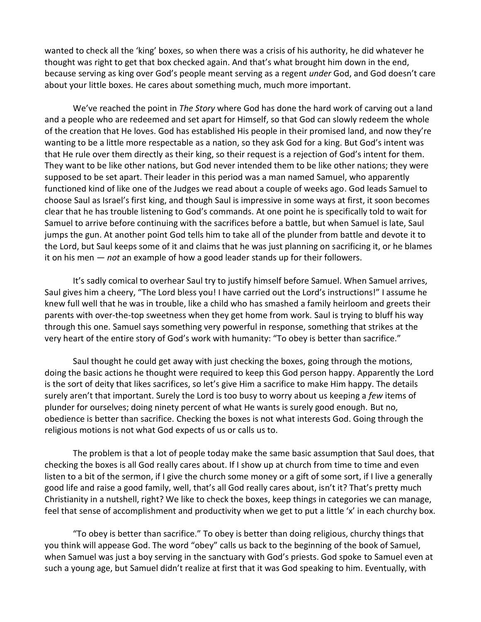wanted to check all the 'king' boxes, so when there was a crisis of his authority, he did whatever he thought was right to get that box checked again. And that's what brought him down in the end, because serving as king over God's people meant serving as a regent *under* God, and God doesn't care about your little boxes. He cares about something much, much more important.

We've reached the point in *The Story* where God has done the hard work of carving out a land and a people who are redeemed and set apart for Himself, so that God can slowly redeem the whole of the creation that He loves. God has established His people in their promised land, and now they're wanting to be a little more respectable as a nation, so they ask God for a king. But God's intent was that He rule over them directly as their king, so their request is a rejection of God's intent for them. They want to be like other nations, but God never intended them to be like other nations; they were supposed to be set apart. Their leader in this period was a man named Samuel, who apparently functioned kind of like one of the Judges we read about a couple of weeks ago. God leads Samuel to choose Saul as Israel's first king, and though Saul is impressive in some ways at first, it soon becomes clear that he has trouble listening to God's commands. At one point he is specifically told to wait for Samuel to arrive before continuing with the sacrifices before a battle, but when Samuel is late, Saul jumps the gun. At another point God tells him to take all of the plunder from battle and devote it to the Lord, but Saul keeps some of it and claims that he was just planning on sacrificing it, or he blames it on his men — *not* an example of how a good leader stands up for their followers.

It's sadly comical to overhear Saul try to justify himself before Samuel. When Samuel arrives, Saul gives him a cheery, "The Lord bless you! I have carried out the Lord's instructions!" I assume he knew full well that he was in trouble, like a child who has smashed a family heirloom and greets their parents with over-the-top sweetness when they get home from work. Saul is trying to bluff his way through this one. Samuel says something very powerful in response, something that strikes at the very heart of the entire story of God's work with humanity: "To obey is better than sacrifice."

Saul thought he could get away with just checking the boxes, going through the motions, doing the basic actions he thought were required to keep this God person happy. Apparently the Lord is the sort of deity that likes sacrifices, so let's give Him a sacrifice to make Him happy. The details surely aren't that important. Surely the Lord is too busy to worry about us keeping a *few* items of plunder for ourselves; doing ninety percent of what He wants is surely good enough. But no, obedience is better than sacrifice. Checking the boxes is not what interests God. Going through the religious motions is not what God expects of us or calls us to.

The problem is that a lot of people today make the same basic assumption that Saul does, that checking the boxes is all God really cares about. If I show up at church from time to time and even listen to a bit of the sermon, if I give the church some money or a gift of some sort, if I live a generally good life and raise a good family, well, that's all God really cares about, isn't it? That's pretty much Christianity in a nutshell, right? We like to check the boxes, keep things in categories we can manage, feel that sense of accomplishment and productivity when we get to put a little 'x' in each churchy box.

"To obey is better than sacrifice." To obey is better than doing religious, churchy things that you think will appease God. The word "obey" calls us back to the beginning of the book of Samuel, when Samuel was just a boy serving in the sanctuary with God's priests. God spoke to Samuel even at such a young age, but Samuel didn't realize at first that it was God speaking to him. Eventually, with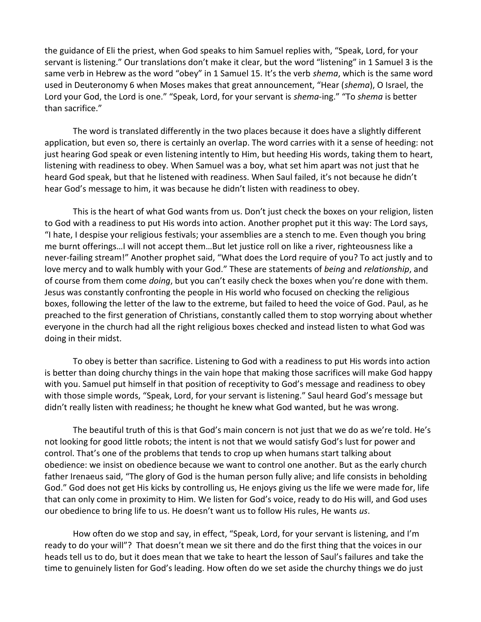the guidance of Eli the priest, when God speaks to him Samuel replies with, "Speak, Lord, for your servant is listening." Our translations don't make it clear, but the word "listening" in 1 Samuel 3 is the same verb in Hebrew as the word "obey" in 1 Samuel 15. It's the verb *shema*, which is the same word used in Deuteronomy 6 when Moses makes that great announcement, "Hear (*shema*), O Israel, the Lord your God, the Lord is one." "Speak, Lord, for your servant is *shema*-ing." "To *shema* is better than sacrifice."

The word is translated differently in the two places because it does have a slightly different application, but even so, there is certainly an overlap. The word carries with it a sense of heeding: not just hearing God speak or even listening intently to Him, but heeding His words, taking them to heart, listening with readiness to obey. When Samuel was a boy, what set him apart was not just that he heard God speak, but that he listened with readiness. When Saul failed, it's not because he didn't hear God's message to him, it was because he didn't listen with readiness to obey.

This is the heart of what God wants from us. Don't just check the boxes on your religion, listen to God with a readiness to put His words into action. Another prophet put it this way: The Lord says, "I hate, I despise your religious festivals; your assemblies are a stench to me. Even though you bring me burnt offerings…I will not accept them…But let justice roll on like a river, righteousness like a never-failing stream!" Another prophet said, "What does the Lord require of you? To act justly and to love mercy and to walk humbly with your God." These are statements of *being* and *relationship*, and of course from them come *doing*, but you can't easily check the boxes when you're done with them. Jesus was constantly confronting the people in His world who focused on checking the religious boxes, following the letter of the law to the extreme, but failed to heed the voice of God. Paul, as he preached to the first generation of Christians, constantly called them to stop worrying about whether everyone in the church had all the right religious boxes checked and instead listen to what God was doing in their midst.

To obey is better than sacrifice. Listening to God with a readiness to put His words into action is better than doing churchy things in the vain hope that making those sacrifices will make God happy with you. Samuel put himself in that position of receptivity to God's message and readiness to obey with those simple words, "Speak, Lord, for your servant is listening." Saul heard God's message but didn't really listen with readiness; he thought he knew what God wanted, but he was wrong.

The beautiful truth of this is that God's main concern is not just that we do as we're told. He's not looking for good little robots; the intent is not that we would satisfy God's lust for power and control. That's one of the problems that tends to crop up when humans start talking about obedience: we insist on obedience because we want to control one another. But as the early church father Irenaeus said, "The glory of God is the human person fully alive; and life consists in beholding God." God does not get His kicks by controlling us, He enjoys giving us the life we were made for, life that can only come in proximity to Him. We listen for God's voice, ready to do His will, and God uses our obedience to bring life to us. He doesn't want us to follow His rules, He wants *us*.

How often do we stop and say, in effect, "Speak, Lord, for your servant is listening, and I'm ready to do your will"? That doesn't mean we sit there and do the first thing that the voices in our heads tell us to do, but it does mean that we take to heart the lesson of Saul's failures and take the time to genuinely listen for God's leading. How often do we set aside the churchy things we do just